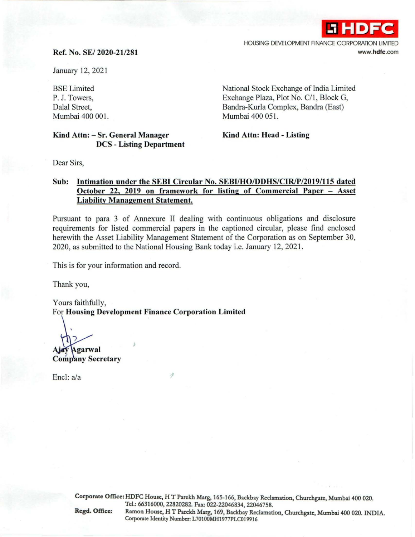

## Ref. No. SE/ 2020-21/281

January 12, 2021

BSE Limited P. J. Towers, Dalal Street, Mumbai 400 001.

Kind Attn: -Sr. General Manager DCS - Listing Department National Stock Exchange of India Limited Exchange Plaza, Plot No. C/1, Block G, Bandra-Kurla Complex, Bandra (East) Mumbai 400 051.

Kind Attn: Head - Listing

Dear Sirs,

## Sub: Intimation under the SEBI Circular No. SEBl/HO/DDHS/ClR/P/2019/115 dated October 22, 2019 on framework for listing of Commercial Paper - Asset Liability Management Statement.

Pursuant to para 3 of Annexure II dealing with continuous obligations and disclosure requirements for listed commercial papers in the captioned circular, please find enclosed herewith the Asset Liability Management Statement of the Corporation as on September 30, 2020, as submitted to the National Housing Bank today i.e. January 12, 2021.

This is for your information and record.

Thank you,

Yours faithfully, For Housing Development Finance Corporation Limited

Agarwal **Company Secretary** 

Encl: a/a

Corporate Office: HDFC House, H T Parekh Marg, 165-166, Backbay Reclamation, Churchgate, Mumbai 400 020. Tcl.: 66316000,22820282. Fax.: 022-22046834,22046758. Regd. Office: Ramon House, HT Parekh Marg, 169, Backbay Reclamation, Churchgatc, Mumbai 400 020. INDIA. Corporate Identity Number: L70100MH1977PLC019916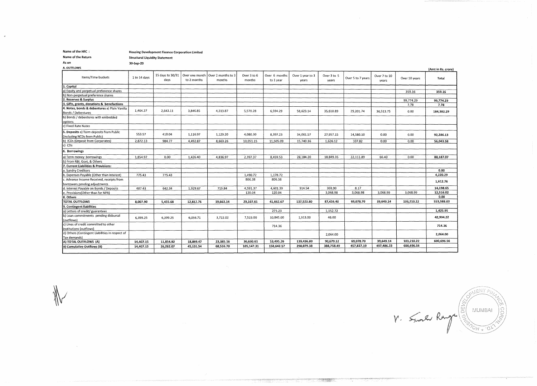Name of the HFC : Housing Development Finance Corporation Limited<br>Name of the Return Structural Liquidity Statement

Name of the Return Structural Liquidity Statement<br>
As on S0-Sep-20

As on 30-Sep-20

 $\overline{a}$ 

| A. OUTHOWS                                      |              |                          |                               |                              |                       |                            |                           |                      |                   |                       |               | (Amt in Rs. crore) |
|-------------------------------------------------|--------------|--------------------------|-------------------------------|------------------------------|-----------------------|----------------------------|---------------------------|----------------------|-------------------|-----------------------|---------------|--------------------|
| Items/Time buckets                              | 1 to 14 days | 15 days to 30/31<br>days | Over one month<br>to 2 months | Over 2 months to 3<br>months | Over 3 to 6<br>months | Over 6 months<br>to 1 year | Over 1 year to 3<br>years | Over 3 to 5<br>years | Over 5 to 7 years | Over 7 to 10<br>years | Over 10 years | Total              |
| 1. Capital                                      |              |                          |                               |                              |                       |                            |                           |                      |                   |                       |               |                    |
| a) Equity and perpetual preference shares       |              |                          |                               |                              |                       |                            |                           |                      |                   |                       | 359.16        | 359.16             |
| b) Non-perpetual preference shares              |              |                          |                               |                              |                       |                            |                           |                      |                   |                       |               |                    |
| 2. Reserves & Surplus                           |              |                          |                               |                              |                       |                            |                           |                      |                   |                       | 99,774.29     | 99,774.29          |
| 3. Gifts, grants, donations & benefactions      |              |                          |                               |                              |                       |                            |                           |                      |                   |                       | 7.78          | 7.78               |
| 4. Notes, bonds & debentures a) Plain Vanilla   | 1,464.37     | 2,643.11                 | 3,846.85                      | 4,313.87                     | 5,570.28              | 6,594.29                   | 58,623.14                 |                      |                   |                       |               |                    |
| Bonds / Debentures                              |              |                          |                               |                              |                       |                            |                           | 35,610.89            | 29.201.74         | 36,513.75             | 0.00          | 184,382.29         |
| b) Bonds / debentures with embedded             |              |                          |                               |                              |                       |                            |                           |                      |                   |                       |               |                    |
| options                                         |              |                          |                               |                              |                       |                            |                           |                      |                   |                       |               |                    |
| c) Fixed Rate Notes                             |              |                          |                               |                              |                       |                            |                           |                      |                   |                       |               |                    |
| 5. Deposits a) Term deposits from Public        |              |                          |                               |                              |                       |                            |                           |                      |                   |                       |               |                    |
| (including NCDs from Public)                    | 553.57       | 410.04                   | 1,116.97                      | 1,129.20                     | 4,080.30              | 8,397.23                   | 34,061.57                 | 27,957.15            | 14,580.10         | 0.00                  | 0.00          | 92,286.13          |
| b) ICDs (Deposit from Corporates)               | 2,872.13     | 984.77                   | 4,492.87                      | 8,663.26                     | 10,051.15             | 11,505.09                  | 15,740.36                 | 1,626.12             | 107.82            | 0.00                  | 0.00          | 56,043.58          |
| c) CDs                                          |              |                          |                               |                              |                       |                            |                           |                      |                   |                       |               |                    |
| 6. Borrowings                                   |              |                          |                               |                              |                       |                            |                           |                      |                   |                       |               |                    |
| a) Term money borrowings                        | 1,854.97     | 0.00                     | 1,426.40                      | 4,836.97                     | 2,397.37              | 8,459.53                   | 28,184.20                 | 18,849.35            | 22,111.89         | 66.40                 | 0.00          | 88,187.07          |
| b) From RBI, Govt, & Others                     |              |                          |                               |                              |                       |                            |                           |                      |                   |                       |               |                    |
| 7. Current Liabilities & Provisions:            |              |                          |                               |                              |                       |                            |                           |                      |                   |                       |               |                    |
| a. Sundry Creditors                             |              |                          |                               |                              |                       |                            |                           |                      |                   |                       |               | 0.00               |
| b. Expenses Payable (Other than Interest)       | 775.43       | 775.43                   |                               |                              | 1,490.72              | 1,178.72                   |                           |                      |                   |                       |               | 4,220.29           |
| c. Advance Income Received, receipts from       |              |                          |                               |                              | 806.38                | 806.38                     |                           |                      |                   |                       |               | 1,612.76           |
| borrowers pending adjustments                   |              |                          |                               |                              |                       |                            |                           |                      |                   |                       |               |                    |
| d. Interest Payable on Bonds / Deposits         | 487.43       | 642.34                   | 1,929.67                      | 719.84                       | 4.591.37              | 4,601.39                   | 914.54                    | 303.90               | 8.17              |                       |               | 14,198.65          |
| e. Provisions(Other than for NPA)               |              |                          |                               |                              | 120.04                | 120.04                     |                           | 3.068.98             | 3,068.98          | 3,068.99              | 3.068.99      | 12,516.02          |
| 8. Others                                       |              |                          |                               |                              |                       |                            |                           |                      |                   |                       |               | 0.00               |
| TOTAL OUTFLOWS                                  | 8,007.90     | 5,455.68                 | 12.812.76                     | 19,663.14                    | 29,107.61             | 41,662.67                  | 137,523.80                | 87,416.40            | 69,078.70         | 39,649.14             | 103,210.22    | 553,588.03         |
| 9. Contingent liabilities                       |              |                          |                               |                              |                       |                            |                           |                      |                   |                       |               |                    |
| a) Letters of credit/ guarantees                |              |                          |                               |                              |                       | 273.23                     |                           | 1,152.72             |                   |                       |               | 1,425.95           |
| b) Loan commitments pending disbursal           | 6,399.25     | 6,399.25                 | 6,056.71                      | 3,722.02                     | 7,523.00              | 10,845.00                  | 1,913.00                  | 46.00                |                   |                       |               | 42,904.22          |
| (outflows)                                      |              |                          |                               |                              |                       |                            |                           |                      |                   |                       |               |                    |
| c) Lines of credit committed to other           |              |                          |                               |                              |                       | 714.36                     |                           |                      |                   |                       |               | 714.36             |
| institutions (outflows)                         |              |                          |                               |                              |                       |                            |                           |                      |                   |                       |               |                    |
| d) Others (Contingent Liabilities in respect of |              |                          |                               |                              |                       |                            |                           | 2,064.00             |                   |                       |               | 2,064.00           |
| Tax demands)                                    |              |                          |                               |                              |                       |                            |                           |                      |                   |                       |               |                    |
| A) TOTAL OUTFLOWS (A)                           | 14,407.15    | 11,854.92                | 18,869.47                     | 23,385.16                    | 36,630.61             | 53,495.26                  | 139,436.80                | 90,679.12            | 69,078.70         | 39,649.14             | 103,210.22    | 600,696.56         |
| <b>BI Cumulative Outflows (B)</b>               | 14,407.15    | 26,262.07                | 45.131.54                     | 68,516.70                    | 105,147.31            | 158,642.57                 | 298,079.38                | 388,758.49           | 457.837.19        | 497,486.33            | 600,696.56    |                    |
|                                                 |              |                          |                               |                              |                       |                            |                           |                      |                   |                       |               |                    |

 $V =$  Small Range (SONENT FINAL)